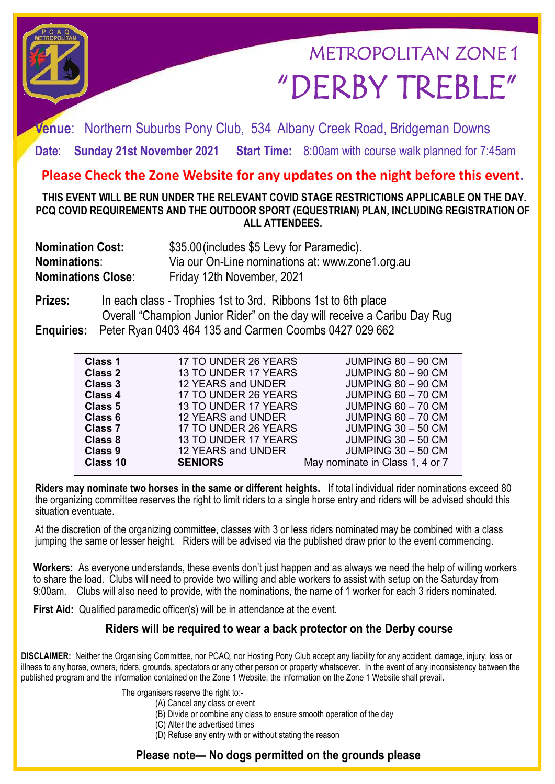# METROPOLITAN ZONE 1 "DERBY TREBLE"

**Venue**: Northern Suburbs Pony Club, 534 Albany Creek Road, Bridgeman Downs

**Date**: **Sunday 21st November 2021 Start Time:** 8:00am with course walk planned for 7:45am

## **Please Check the Zone Website for any updates on the night before this event.**

**THIS EVENT WILL BE RUN UNDER THE RELEVANT COVID STAGE RESTRICTIONS APPLICABLE ON THE DAY. PCQ COVID REQUIREMENTS AND THE OUTDOOR SPORT (EQUESTRIAN) PLAN, INCLUDING REGISTRATION OF ALL ATTENDEES.** 

| <b>Nomination Cost:</b>   | \$35.00 (includes \$5 Levy for Paramedic).       |  |
|---------------------------|--------------------------------------------------|--|
| <b>Nominations:</b>       | Via our On-Line nominations at: www.zone1.org.au |  |
| <b>Nominations Close:</b> | Friday 12th November, 2021                       |  |

**Prizes:** In each class - Trophies 1st to 3rd. Ribbons 1st to 6th place Overall "Champion Junior Rider" on the day will receive a Caribu Day Rug **Enquiries:** Peter Ryan 0403 464 135 and Carmen Coombs 0427 029 662

| Class 1        | 17 TO UNDER 26 YEARS | JUMPING 80 - 90 CM              |
|----------------|----------------------|---------------------------------|
| <b>Class 2</b> | 13 TO UNDER 17 YEARS | JUMPING 80 - 90 CM              |
| Class 3        | 12 YEARS and UNDER   | JUMPING 80 - 90 CM              |
| Class 4        | 17 TO UNDER 26 YEARS | JUMPING 60 - 70 CM              |
| Class 5        | 13 TO UNDER 17 YEARS | JUMPING 60 - 70 CM              |
| Class 6        | 12 YEARS and UNDER   | JUMPING 60 - 70 CM              |
| <b>Class 7</b> | 17 TO UNDER 26 YEARS | JUMPING 30 - 50 CM              |
| <b>Class 8</b> | 13 TO UNDER 17 YEARS | JUMPING 30 - 50 CM              |
| Class 9        | 12 YEARS and UNDER   | JUMPING 30 - 50 CM              |
| Class 10       | <b>SENIORS</b>       | May nominate in Class 1, 4 or 7 |
|                |                      |                                 |

**Riders may nominate two horses in the same or different heights.** If total individual rider nominations exceed 80 the organizing committee reserves the right to limit riders to a single horse entry and riders will be advised should this situation eventuate.

At the discretion of the organizing committee, classes with 3 or less riders nominated may be combined with a class jumping the same or lesser height. Riders will be advised via the published draw prior to the event commencing.

**Workers:** As everyone understands, these events don't just happen and as always we need the help of willing workers to share the load. Clubs will need to provide two willing and able workers to assist with setup on the Saturday from 9:00am. Clubs will also need to provide, with the nominations, the name of 1 worker for each 3 riders nominated.

First Aid: Qualified paramedic officer(s) will be in attendance at the event.

#### **Riders will be required to wear a back protector on the Derby course**

**DISCLAIMER:** Neither the Organising Committee, nor PCAQ, nor Hosting Pony Club accept any liability for any accident, damage, injury, loss or illness to any horse, owners, riders, grounds, spectators or any other person or property whatsoever. In the event of any inconsistency between the published program and the information contained on the Zone 1 Website, the information on the Zone 1 Website shall prevail.

The organisers reserve the right to:-

- (A) Cancel any class or event
- (B) Divide or combine any class to ensure smooth operation of the day
- (C) Alter the advertised times
- (D) Refuse any entry with or without stating the reason

### **Please note— No dogs permitted on the grounds please**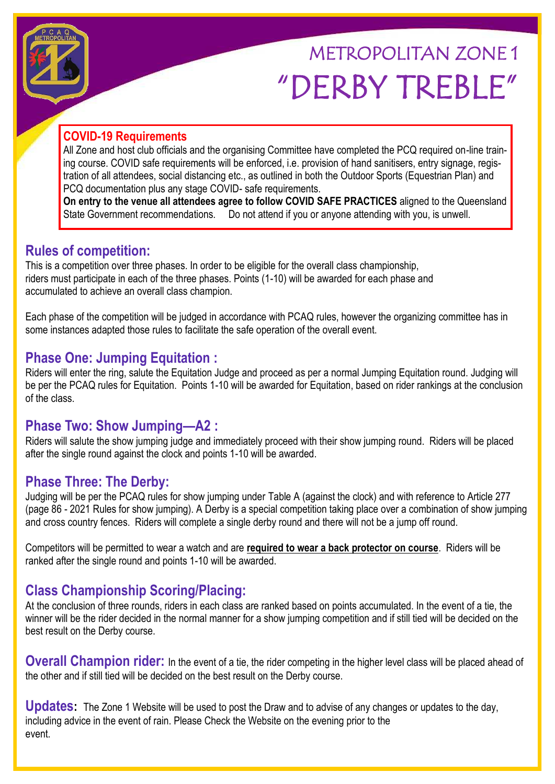# METROPOLITAN ZONE 1 "DERBY TREBLE"

### **COVID-19 Requirements**

All Zone and host club officials and the organising Committee have completed the PCQ required on-line training course. COVID safe requirements will be enforced, i.e. provision of hand sanitisers, entry signage, registration of all attendees, social distancing etc., as outlined in both the Outdoor Sports (Equestrian Plan) and PCQ documentation plus any stage COVID- safe requirements.

**On entry to the venue all attendees agree to follow COVID SAFE PRACTICES** aligned to the Queensland State Government recommendations. Do not attend if you or anyone attending with you, is unwell.

# **Rules of competition:**

This is a competition over three phases. In order to be eligible for the overall class championship, riders must participate in each of the three phases. Points (1-10) will be awarded for each phase and accumulated to achieve an overall class champion.

Each phase of the competition will be judged in accordance with PCAQ rules, however the organizing committee has in some instances adapted those rules to facilitate the safe operation of the overall event.

# **Phase One: Jumping Equitation :**

Riders will enter the ring, salute the Equitation Judge and proceed as per a normal Jumping Equitation round. Judging will be per the PCAQ rules for Equitation. Points 1-10 will be awarded for Equitation, based on rider rankings at the conclusion of the class.

## **Phase Two: Show Jumping—A2 :**

Riders will salute the show jumping judge and immediately proceed with their show jumping round. Riders will be placed after the single round against the clock and points 1-10 will be awarded.

## **Phase Three: The Derby:**

Judging will be per the PCAQ rules for show jumping under Table A (against the clock) and with reference to Article 277 (page 86 - 2021 Rules for show jumping). A Derby is a special competition taking place over a combination of show jumping and cross country fences. Riders will complete a single derby round and there will not be a jump off round.

Competitors will be permitted to wear a watch and are **required to wear a back protector on course**. Riders will be ranked after the single round and points 1-10 will be awarded.

# **Class Championship Scoring/Placing:**

At the conclusion of three rounds, riders in each class are ranked based on points accumulated. In the event of a tie, the winner will be the rider decided in the normal manner for a show jumping competition and if still tied will be decided on the best result on the Derby course.

**Overall Champion rider:** In the event of a tie, the rider competing in the higher level class will be placed ahead of the other and if still tied will be decided on the best result on the Derby course.

**Updates:** The Zone 1 Website will be used to post the Draw and to advise of any changes or updates to the day, including advice in the event of rain. Please Check the Website on the evening prior to the event.